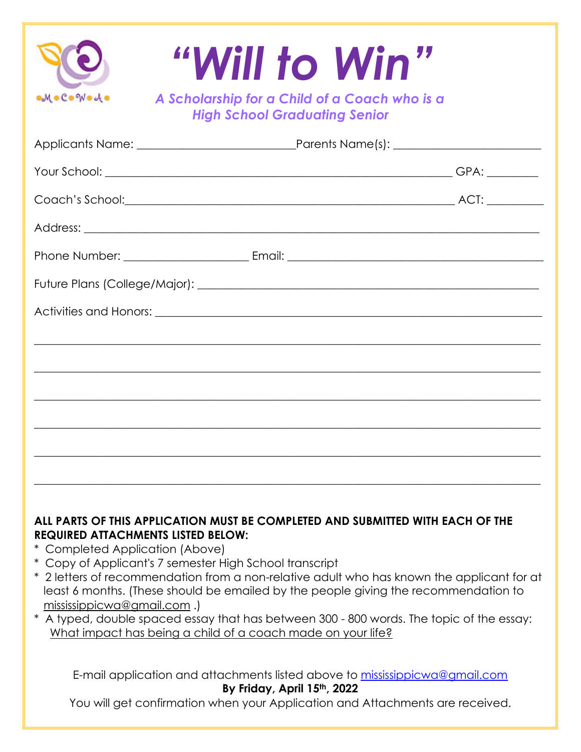|                                 | "Will to Win"                                                                                                                                                                     |
|---------------------------------|-----------------------------------------------------------------------------------------------------------------------------------------------------------------------------------|
| MoCoWodo                        | A Scholarship for a Child of a Coach who is a<br><b>High School Graduating Senior</b>                                                                                             |
|                                 |                                                                                                                                                                                   |
|                                 |                                                                                                                                                                                   |
|                                 |                                                                                                                                                                                   |
|                                 |                                                                                                                                                                                   |
|                                 |                                                                                                                                                                                   |
|                                 |                                                                                                                                                                                   |
|                                 |                                                                                                                                                                                   |
|                                 |                                                                                                                                                                                   |
|                                 |                                                                                                                                                                                   |
|                                 |                                                                                                                                                                                   |
|                                 |                                                                                                                                                                                   |
|                                 |                                                                                                                                                                                   |
|                                 |                                                                                                                                                                                   |
|                                 |                                                                                                                                                                                   |
|                                 | ALL PARTS OF THIS APPLICATION MUST BE COMPLETED AND SUBMITTED WITH EACH OF THE                                                                                                    |
| * Completed Application (Above) | <b>REQUIRED ATTACHMENTS LISTED BELOW:</b>                                                                                                                                         |
|                                 | * Copy of Applicant's 7 semester High School transcript                                                                                                                           |
|                                 | * 2 letters of recommendation from a non-relative adult who has known the applicant for at<br>least 6 months. (These should be emailed by the people giving the recommendation to |
| mississippicwa@gmail.com.)      |                                                                                                                                                                                   |
|                                 | * A typed, double spaced essay that has between 300 - 800 words. The topic of the essay:<br>What impact has being a child of a coach made on your life?                           |
|                                 | E-mail application and attachments listed above to mississippicwa@gmail.com                                                                                                       |
|                                 | By Friday, April 15th, 2022                                                                                                                                                       |
|                                 | You will get confirmation when your Application and Attachments are received.                                                                                                     |